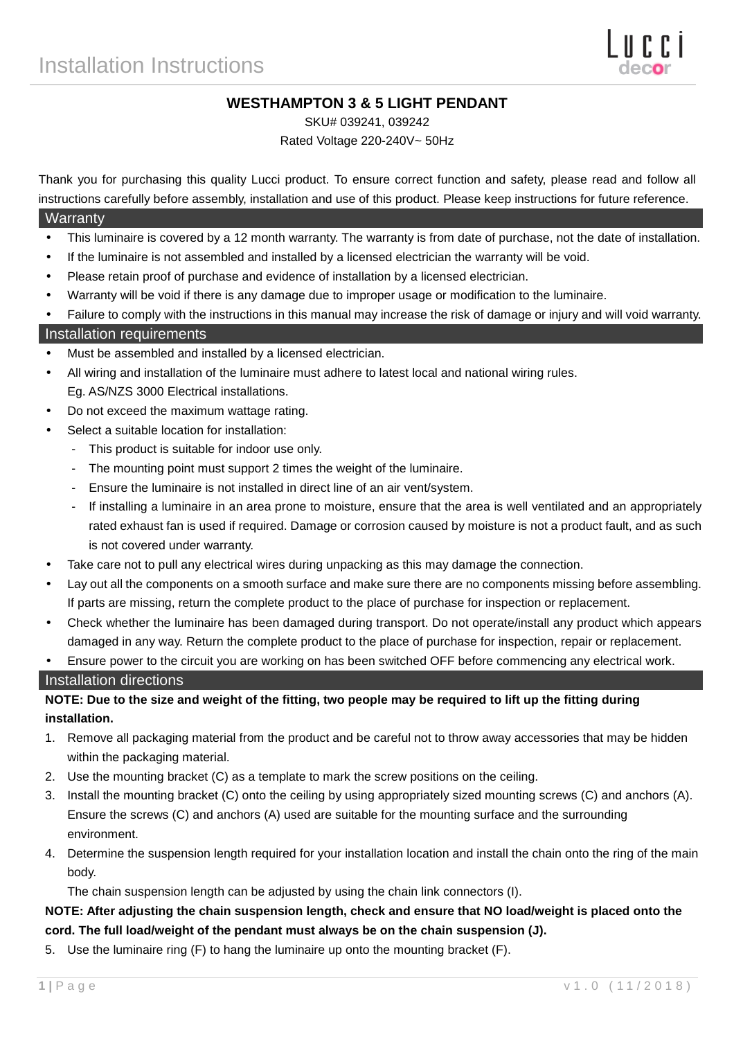# **WESTHAMPTON 3 & 5 LIGHT PENDANT**

SKU# 039241, 039242

Rated Voltage 220-240V~ 50Hz

Thank you for purchasing this quality Lucci product. To ensure correct function and safety, please read and follow all instructions carefully before assembly, installation and use of this product. Please keep instructions for future reference.

#### **Warranty**

- This luminaire is covered by a 12 month warranty. The warranty is from date of purchase, not the date of installation.
- If the luminaire is not assembled and installed by a licensed electrician the warranty will be void.
- Please retain proof of purchase and evidence of installation by a licensed electrician.
- Warranty will be void if there is any damage due to improper usage or modification to the luminaire.
- Failure to comply with the instructions in this manual may increase the risk of damage or injury and will void warranty.

#### Installation requirements

- Must be assembled and installed by a licensed electrician.
- All wiring and installation of the luminaire must adhere to latest local and national wiring rules. Eg. AS/NZS 3000 Electrical installations.
- Do not exceed the maximum wattage rating.
- Select a suitable location for installation:
	- This product is suitable for indoor use only.
	- The mounting point must support 2 times the weight of the luminaire.
	- Ensure the luminaire is not installed in direct line of an air vent/system.
	- If installing a luminaire in an area prone to moisture, ensure that the area is well ventilated and an appropriately rated exhaust fan is used if required. Damage or corrosion caused by moisture is not a product fault, and as such is not covered under warranty.
- Take care not to pull any electrical wires during unpacking as this may damage the connection.
- Lay out all the components on a smooth surface and make sure there are no components missing before assembling. If parts are missing, return the complete product to the place of purchase for inspection or replacement.
- Check whether the luminaire has been damaged during transport. Do not operate/install any product which appears damaged in any way. Return the complete product to the place of purchase for inspection, repair or replacement.
- Ensure power to the circuit you are working on has been switched OFF before commencing any electrical work.

#### Installation directions

## **NOTE: Due to the size and weight of the fitting, two people may be required to lift up the fitting during installation.**

- 1. Remove all packaging material from the product and be careful not to throw away accessories that may be hidden within the packaging material.
- 2. Use the mounting bracket (C) as a template to mark the screw positions on the ceiling.
- 3. Install the mounting bracket (C) onto the ceiling by using appropriately sized mounting screws (C) and anchors (A). Ensure the screws (C) and anchors (A) used are suitable for the mounting surface and the surrounding environment.
- 4. Determine the suspension length required for your installation location and install the chain onto the ring of the main body.

The chain suspension length can be adjusted by using the chain link connectors (I).

## **NOTE: After adjusting the chain suspension length, check and ensure that NO load/weight is placed onto the cord. The full load/weight of the pendant must always be on the chain suspension (J).**

5. Use the luminaire ring (F) to hang the luminaire up onto the mounting bracket (F).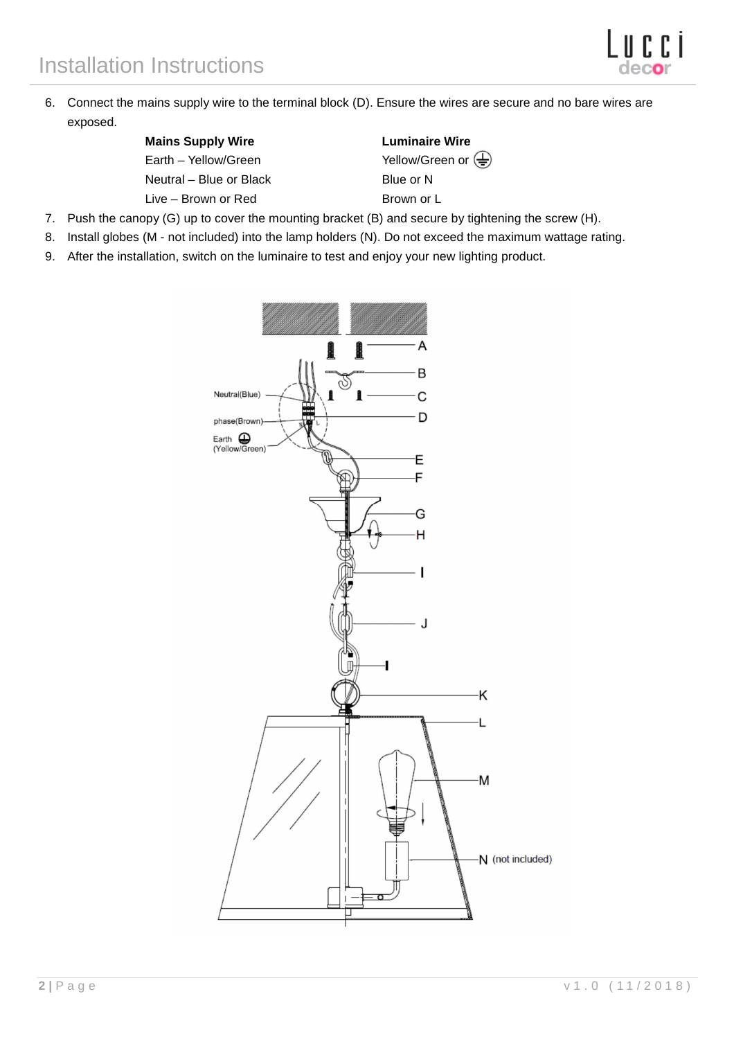6. Connect the mains supply wire to the terminal block (D). Ensure the wires are secure and no bare wires are exposed.

| <b>Mains Supply Wire</b> | Luminair  |
|--------------------------|-----------|
| Earth – Yellow/Green     | Yellow/Gr |
| Neutral – Blue or Black  | Blue or N |

Live – Brown or Red Brown or L

**Luminaire Wire** Yellow/Green or  $\left(\frac{\Gamma}{\Gamma}\right)$ 

- 7. Push the canopy (G) up to cover the mounting bracket (B) and secure by tightening the screw (H).
- 8. Install globes (M not included) into the lamp holders (N). Do not exceed the maximum wattage rating.
- 9. After the installation, switch on the luminaire to test and enjoy your new lighting product.